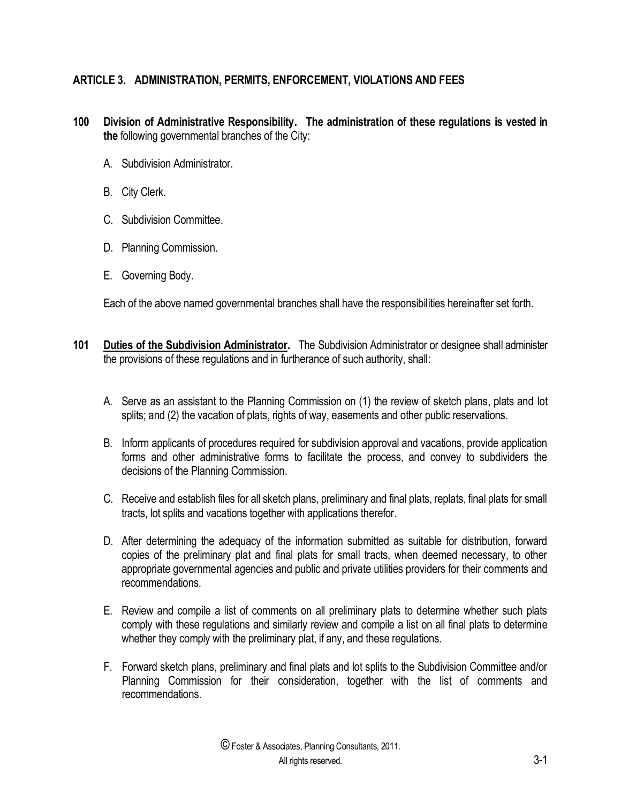# **ARTICLE 3. ADMINISTRATION, PERMITS, ENFORCEMENT, VIOLATIONS AND FEES**

- **100 Division of Administrative Responsibility. The administration of these regulations is vested in the** following governmental branches of the City:
	- A. Subdivision Administrator.
	- B. City Clerk.
	- C. Subdivision Committee.
	- D. Planning Commission.
	- E. Governing Body.

Each of the above named governmental branches shall have the responsibilities hereinafter set forth.

- **101 Duties of the Subdivision Administrator.** The Subdivision Administrator or designee shall administer the provisions of these regulations and in furtherance of such authority, shall:
	- A. Serve as an assistant to the Planning Commission on (1) the review of sketch plans, plats and lot splits; and (2) the vacation of plats, rights of way, easements and other public reservations.
	- B. Inform applicants of procedures required for subdivision approval and vacations, provide application forms and other administrative forms to facilitate the process, and convey to subdividers the decisions of the Planning Commission.
	- C. Receive and establish files for all sketch plans, preliminary and final plats, replats, final plats for small tracts, lot splits and vacations together with applications therefor.
	- D. After determining the adequacy of the information submitted as suitable for distribution, forward copies of the preliminary plat and final plats for small tracts, when deemed necessary, to other appropriate governmental agencies and public and private utilities providers for their comments and recommendations.
	- E. Review and compile a list of comments on all preliminary plats to determine whether such plats comply with these regulations and similarly review and compile a list on all final plats to determine whether they comply with the preliminary plat, if any, and these regulations.
	- F. Forward sketch plans, preliminary and final plats and lot splits to the Subdivision Committee and/or Planning Commission for their consideration, together with the list of comments and recommendations.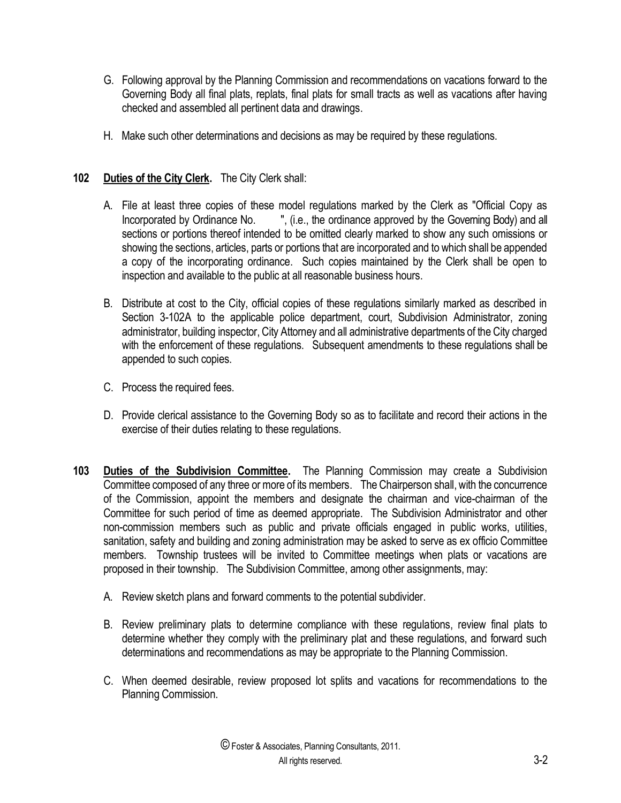- G. Following approval by the Planning Commission and recommendations on vacations forward to the Governing Body all final plats, replats, final plats for small tracts as well as vacations after having checked and assembled all pertinent data and drawings.
- H. Make such other determinations and decisions as may be required by these regulations.

# **102 Duties of the City Clerk.** The City Clerk shall:

- A. File at least three copies of these model regulations marked by the Clerk as "Official Copy as Incorporated by Ordinance No. ", (i.e., the ordinance approved by the Governing Body) and all sections or portions thereof intended to be omitted clearly marked to show any such omissions or showing the sections, articles, parts or portions that are incorporated and to which shall be appended a copy of the incorporating ordinance. Such copies maintained by the Clerk shall be open to inspection and available to the public at all reasonable business hours.
- B. Distribute at cost to the City, official copies of these regulations similarly marked as described in Section 3-102A to the applicable police department, court, Subdivision Administrator, zoning administrator, building inspector, City Attorney and all administrative departments of the City charged with the enforcement of these regulations. Subsequent amendments to these regulations shall be appended to such copies.
- C. Process the required fees.
- D. Provide clerical assistance to the Governing Body so as to facilitate and record their actions in the exercise of their duties relating to these regulations.
- **103 Duties of the Subdivision Committee.** The Planning Commission may create a Subdivision Committee composed of any three or more of its members. The Chairperson shall, with the concurrence of the Commission, appoint the members and designate the chairman and vice-chairman of the Committee for such period of time as deemed appropriate. The Subdivision Administrator and other non-commission members such as public and private officials engaged in public works, utilities, sanitation, safety and building and zoning administration may be asked to serve as ex officio Committee members. Township trustees will be invited to Committee meetings when plats or vacations are proposed in their township. The Subdivision Committee, among other assignments, may:
	- A. Review sketch plans and forward comments to the potential subdivider.
	- B. Review preliminary plats to determine compliance with these regulations, review final plats to determine whether they comply with the preliminary plat and these regulations, and forward such determinations and recommendations as may be appropriate to the Planning Commission.
	- C. When deemed desirable, review proposed lot splits and vacations for recommendations to the Planning Commission.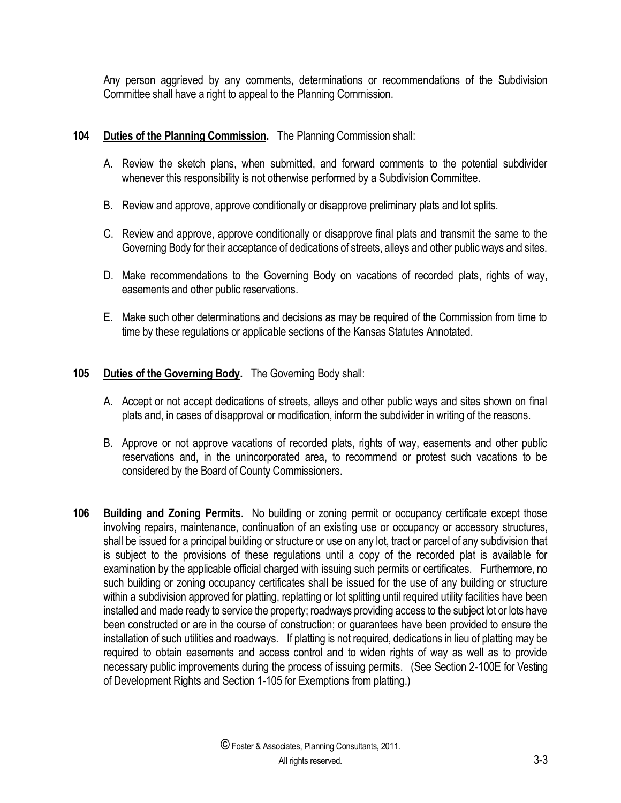Any person aggrieved by any comments, determinations or recommendations of the Subdivision Committee shall have a right to appeal to the Planning Commission.

#### **104 Duties of the Planning Commission.** The Planning Commission shall:

- A. Review the sketch plans, when submitted, and forward comments to the potential subdivider whenever this responsibility is not otherwise performed by a Subdivision Committee.
- B. Review and approve, approve conditionally or disapprove preliminary plats and lot splits.
- C. Review and approve, approve conditionally or disapprove final plats and transmit the same to the Governing Body for their acceptance of dedications of streets, alleys and other public ways and sites.
- D. Make recommendations to the Governing Body on vacations of recorded plats, rights of way, easements and other public reservations.
- E. Make such other determinations and decisions as may be required of the Commission from time to time by these regulations or applicable sections of the Kansas Statutes Annotated.

# **105 Duties of the Governing Body.** The Governing Body shall:

- A. Accept or not accept dedications of streets, alleys and other public ways and sites shown on final plats and, in cases of disapproval or modification, inform the subdivider in writing of the reasons.
- B. Approve or not approve vacations of recorded plats, rights of way, easements and other public reservations and, in the unincorporated area, to recommend or protest such vacations to be considered by the Board of County Commissioners.
- **106 Building and Zoning Permits.** No building or zoning permit or occupancy certificate except those involving repairs, maintenance, continuation of an existing use or occupancy or accessory structures, shall be issued for a principal building or structure or use on any lot, tract or parcel of any subdivision that is subject to the provisions of these regulations until a copy of the recorded plat is available for examination by the applicable official charged with issuing such permits or certificates. Furthermore, no such building or zoning occupancy certificates shall be issued for the use of any building or structure within a subdivision approved for platting, replatting or lot splitting until required utility facilities have been installed and made ready to service the property; roadways providing access to the subject lot or lots have been constructed or are in the course of construction; or guarantees have been provided to ensure the installation of such utilities and roadways. If platting is not required, dedications in lieu of platting may be required to obtain easements and access control and to widen rights of way as well as to provide necessary public improvements during the process of issuing permits. (See Section 2-100E for Vesting of Development Rights and Section 1-105 for Exemptions from platting.)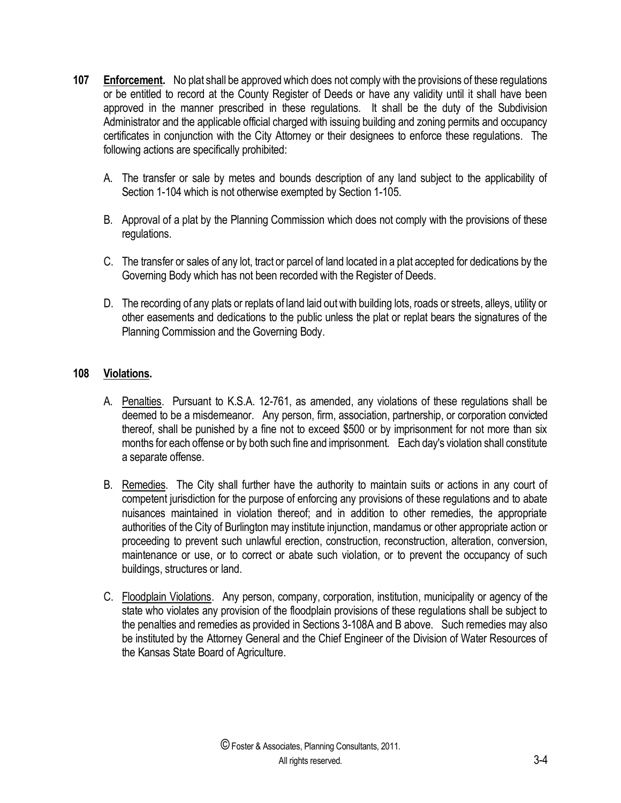- **107 Enforcement.** No plat shall be approved which does not comply with the provisions of these regulations or be entitled to record at the County Register of Deeds or have any validity until it shall have been approved in the manner prescribed in these regulations. It shall be the duty of the Subdivision Administrator and the applicable official charged with issuing building and zoning permits and occupancy certificates in conjunction with the City Attorney or their designees to enforce these regulations. The following actions are specifically prohibited:
	- A. The transfer or sale by metes and bounds description of any land subject to the applicability of Section 1-104 which is not otherwise exempted by Section 1-105.
	- B. Approval of a plat by the Planning Commission which does not comply with the provisions of these regulations.
	- C. The transfer or sales of any lot, tract or parcel of land located in a plat accepted for dedications by the Governing Body which has not been recorded with the Register of Deeds.
	- D. The recording of any plats or replats of land laid out with building lots, roads or streets, alleys, utility or other easements and dedications to the public unless the plat or replat bears the signatures of the Planning Commission and the Governing Body.

### **108 Violations.**

- A. Penalties. Pursuant to K.S.A. 12-761, as amended, any violations of these regulations shall be deemed to be a misdemeanor. Any person, firm, association, partnership, or corporation convicted thereof, shall be punished by a fine not to exceed \$500 or by imprisonment for not more than six months for each offense or by both such fine and imprisonment. Each day's violation shall constitute a separate offense.
- B. Remedies. The City shall further have the authority to maintain suits or actions in any court of competent jurisdiction for the purpose of enforcing any provisions of these regulations and to abate nuisances maintained in violation thereof; and in addition to other remedies, the appropriate authorities of the City of Burlington may institute injunction, mandamus or other appropriate action or proceeding to prevent such unlawful erection, construction, reconstruction, alteration, conversion, maintenance or use, or to correct or abate such violation, or to prevent the occupancy of such buildings, structures or land.
- C. Floodplain Violations. Any person, company, corporation, institution, municipality or agency of the state who violates any provision of the floodplain provisions of these regulations shall be subject to the penalties and remedies as provided in Sections 3-108A and B above. Such remedies may also be instituted by the Attorney General and the Chief Engineer of the Division of Water Resources of the Kansas State Board of Agriculture.